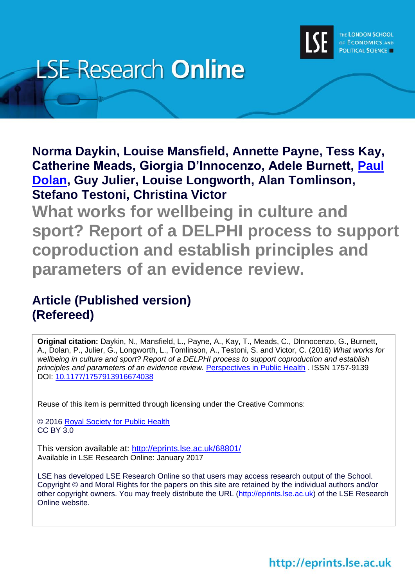

# **LSE Research Online**

**Norma Daykin, Louise Mansfield, Annette Payne, Tess Kay, Catherine Meads, Giorgia D'Innocenzo, Adele Burnett, [Paul](mailto:http://www.lse.ac.uk/researchAndExpertise/Experts/profile.aspx?KeyValue=p.h.dolan@lse.ac.uk)  [Dolan,](mailto:http://www.lse.ac.uk/researchAndExpertise/Experts/profile.aspx?KeyValue=p.h.dolan@lse.ac.uk) Guy Julier, Louise Longworth, Alan Tomlinson, Stefano Testoni, Christina Victor**

**What works for wellbeing in culture and sport? Report of a DELPHI process to support coproduction and establish principles and parameters of an evidence review.**

# **Article (Published version) (Refereed)**

**Original citation:** Daykin, N., Mansfield, L., Payne, A., Kay, T., Meads, C., DInnocenzo, G., Burnett, A., Dolan, P., Julier, G., Longworth, L., Tomlinson, A., Testoni, S. and Victor, C. (2016) *What works for wellbeing in culture and sport? Report of a DELPHI process to support coproduction and establish principles and parameters of an evidence review.* [Perspectives in Public Health](mailto:http://journals.sagepub.com/home/rsh) . ISSN 1757-9139 DOI: [10.1177/1757913916674038](mailto:http://dx.doi.org/10.1177/1757913916674038)

Reuse of this item is permitted through licensing under the Creative Commons:

© 2016 [Royal Society for Public Health](mailto:https://www.rsph.org.uk/) CC BY 3.0

This version available at: <http://eprints.lse.ac.uk/68801/> Available in LSE Research Online: January 2017

LSE has developed LSE Research Online so that users may access research output of the School. Copyright © and Moral Rights for the papers on this site are retained by the individual authors and/or other copyright owners. You may freely distribute the URL (http://eprints.lse.ac.uk) of the LSE Research Online website.

http://eprints.lse.ac.uk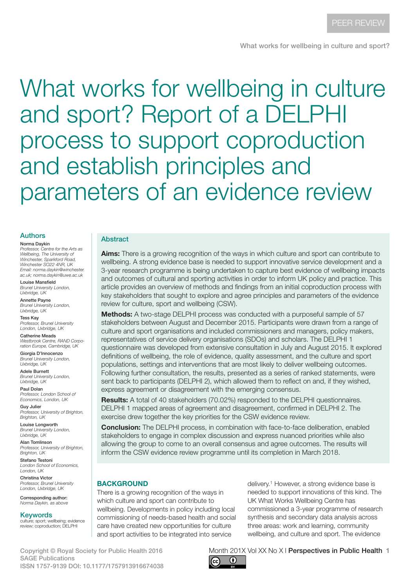What works for wellbeing in culture and sport? Report of a DELPHI process to support coproduction and establish principles and parameters of an evidence review

#### Authors

#### Norma Daykin

*Professor, Centre for the Arts as Wellbeing, The University of Winchester, Sparkford Road, Winchester SO22 4NR, UK Email: norma.daykin@winchester. ac.uk; norma.daykin@uwe.ac.uk*

Louise Mansfield *Brunel University London, Uxbridge, UK*

Annette Payne *Brunel University London, Uxbridge, UK*

Tess Kay *Professor, Brunel University London, Uxbridge, UK*

Catherine Meads *Westbrook Centre, RAND Corporation Europe, Cambridge, UK*

Giorgia D'Innocenzo *Brunel University London, Uxbridge, UK*

Adele Burnett *Brunel University London, Uxbridge, UK*

Paul Dolan *Professor, London School of Economics, London, UK*

Guy Julier *Professor, University of Brighton, Brighton, UK*

Louise Longworth *Brunel University London, Uxbridge, UK*

Alan Tomlinson *Professor, University of Brighton, Brighton, UK*

Stefano Testoni *London School of Economics, London, UK*

Christina Victor *Professor, Brunel University London, Uxbridge, UK*

Corresponding author: *Norma Daykin, as above*

Keywords culture; sport; wellbeing; evidence review; coproduction; DELPHI

# Abstract

**Aims:** There is a growing recognition of the ways in which culture and sport can contribute to wellbeing. A strong evidence base is needed to support innovative service development and a 3-year research programme is being undertaken to capture best evidence of wellbeing impacts and outcomes of cultural and sporting activities in order to inform UK policy and practice. This article provides an overview of methods and findings from an initial coproduction process with key stakeholders that sought to explore and agree principles and parameters of the evidence review for culture, sport and wellbeing (CSW).

Methods: A two-stage DELPHI process was conducted with a purposeful sample of 57 stakeholders between August and December 2015. Participants were drawn from a range of culture and sport organisations and included commissioners and managers, policy makers, representatives of service delivery organisations (SDOs) and scholars. The DELPHI 1 questionnaire was developed from extensive consultation in July and August 2015. It explored definitions of wellbeing, the role of evidence, quality assessment, and the culture and sport populations, settings and interventions that are most likely to deliver wellbeing outcomes. Following further consultation, the results, presented as a series of ranked statements, were sent back to participants (DELPHI 2), which allowed them to reflect on and, if they wished, express agreement or disagreement with the emerging consensus.

Results: A total of 40 stakeholders (70.02%) responded to the DELPHI questionnaires. DELPHI 1 mapped areas of agreement and disagreement, confirmed in DELPHI 2. The exercise drew together the key priorities for the CSW evidence review.

Conclusion: The DELPHI process, in combination with face-to-face deliberation, enabled stakeholders to engage in complex discussion and express nuanced priorities while also allowing the group to come to an overall consensus and agree outcomes. The results will inform the CSW evidence review programme until its completion in March 2018.

#### **BACKGROUND**

There is a growing recognition of the ways in which culture and sport can contribute to wellbeing. Developments in policy including local commissioning of needs-based health and social care have created new opportunities for culture and sport activities to be integrated into service

delivery.1 However, a strong evidence base is needed to support innovations of this kind. The UK What Works Wellbeing Centre has commissioned a 3-year programme of research synthesis and secondary data analysis across three areas: work and learning, community wellbeing, and culture and sport. The evidence

SAGE Publications ISSN 1757-9139 DOI: 10.1177/1757913916674038

Copyright © Royal Society for Public Health 2016 Month 201X Vol XX No X I Perspectives in Public Health 1

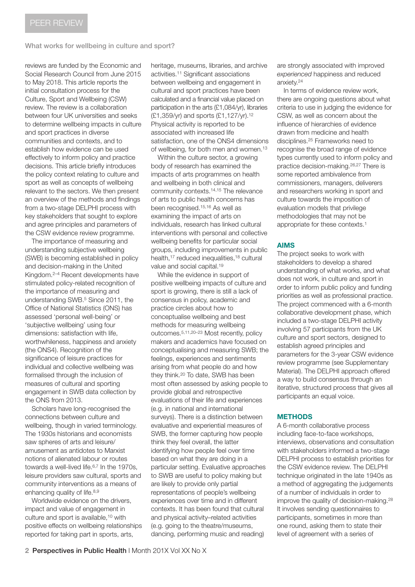reviews are funded by the Economic and Social Research Council from June 2015 to May 2018. This article reports the initial consultation process for the Culture, Sport and Wellbeing (CSW) review. The review is a collaboration between four UK universities and seeks to determine wellbeing impacts in culture and sport practices in diverse communities and contexts, and to establish how evidence can be used effectively to inform policy and practice decisions. This article briefly introduces the policy context relating to culture and sport as well as concepts of wellbeing relevant to the sectors. We then present an overview of the methods and findings from a two-stage DELPHI process with key stakeholders that sought to explore and agree principles and parameters of the CSW evidence review programme.

The importance of measuring and understanding subjective wellbeing (SWB) is becoming established in policy and decision-making in the United Kingdom.2–4 Recent developments have stimulated policy-related recognition of the importance of measuring and understanding SWB.<sup>5</sup> Since 2011, the Office of National Statistics (ONS) has assessed 'personal well-being' or 'subjective wellbeing' using four dimensions: satisfaction with life, worthwhileness, happiness and anxiety (the ONS4). Recognition of the significance of leisure practices for individual and collective wellbeing was formalised through the inclusion of measures of cultural and sporting engagement in SWB data collection by the ONS from 2013.

Scholars have long-recognised the connections between culture and wellbeing, though in varied terminology. The 1930s historians and economists saw spheres of arts and leisure/ amusement as antidotes to Marxist notions of alienated labour or routes towards a well-lived life.6,7 In the 1970s, leisure providers saw cultural, sports and community interventions as a means of enhancing quality of life.<sup>8,9</sup>

Worldwide evidence on the drivers. impact and value of engagement in culture and sport is available,10 with positive effects on wellbeing relationships reported for taking part in sports, arts,

heritage, museums, libraries, and archive activities.11 Significant associations between wellbeing and engagement in cultural and sport practices have been calculated and a financial value placed on participation in the arts (£1,084/yr), libraries (£1,359/yr) and sports (£1,127/yr).12 Physical activity is reported to be associated with increased life satisfaction, one of the ONS4 dimensions of wellbeing, for both men and women.13

Within the culture sector, a growing body of research has examined the impacts of arts programmes on health and wellbeing in both clinical and community contexts.14,15 The relevance of arts to public health concerns has been recognised.15,16 As well as examining the impact of arts on individuals, research has linked cultural interventions with personal and collective wellbeing benefits for particular social groups, including improvements in public health,<sup>17</sup> reduced inequalities,<sup>18</sup> cultural value and social capital.19

While the evidence in support of positive wellbeing impacts of culture and sport is growing, there is still a lack of consensus in policy, academic and practice circles about how to conceptualise wellbeing and best methods for measuring wellbeing outcomes.5,11,20–23 Most recently, policy makers and academics have focused on conceptualising and measuring SWB; the feelings, experiences and sentiments arising from what people do and how they think.20 To date, SWB has been most often assessed by asking people to provide global and retrospective evaluations of their life and experiences (e.g. in national and international surveys). There is a distinction between evaluative and experiential measures of SWB, the former capturing how people think they feel overall, the latter identifying how people feel over time based on what they are doing in a particular setting. Evaluative approaches to SWB are useful to policy making but are likely to provide only partial representations of people's wellbeing experiences over time and in different contexts. It has been found that cultural and physical activity–related activities (e.g. going to the theatre/museums, dancing, performing music and reading)

are strongly associated with improved *experienced* happiness and reduced anxiety.24

In terms of evidence review work, there are ongoing questions about what criteria to use in judging the evidence for CSW, as well as concern about the influence of hierarchies of evidence drawn from medicine and health disciplines.25 Frameworks need to recognise the broad range of evidence types currently used to inform policy and practice decision-making.26,27 There is some reported ambivalence from commissioners, managers, deliverers and researchers working in sport and culture towards the imposition of evaluation models that privilege methodologies that may not be appropriate for these contexts.1

#### Aims

The project seeks to work with stakeholders to develop a shared understanding of what works, and what does not work, in culture and sport in order to inform public policy and funding priorities as well as professional practice. The project commenced with a 6-month collaborative development phase, which included a two-stage DELPHI activity involving 57 participants from the UK culture and sport sectors, designed to establish agreed principles and parameters for the 3-year CSW evidence review programme (see Supplementary Material). The DELPHI approach offered a way to build consensus through an iterative, structured process that gives all participants an equal voice.

#### **METHODS**

A 6-month collaborative process including face-to-face workshops, interviews, observations and consultation with stakeholders informed a two-stage DELPHI process to establish priorities for the CSW evidence review. The DELPHI technique originated in the late 1940s as a method of aggregating the judgements of a number of individuals in order to improve the quality of decision-making.28 It involves sending questionnaires to participants, sometimes in more than one round, asking them to state their level of agreement with a series of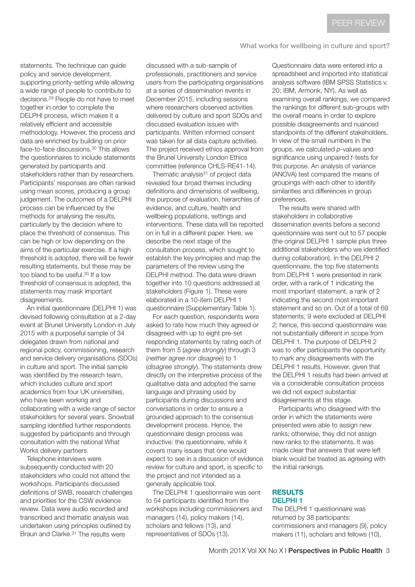statements. The technique can guide policy and service development, supporting priority-setting while allowing a wide range of people to contribute to decisions.29 People do not have to meet together in order to complete the DELPHI process, which makes it a relatively efficient and accessible methodology. However, the process and data are enriched by building on prior face-to-face discussions.30 This allows the questionnaires to include statements generated by participants and stakeholders rather than by researchers. Participants' responses are often ranked using mean scores, producing a group judgement. The outcomes of a DELPHI process can be influenced by the methods for analysing the results, particularly by the decision where to place the threshold of consensus. This can be high or low depending on the aims of the particular exercise. If a high threshold is adopted, there will be fewer resulting statements, but these may be too bland to be useful.30 If a low threshold of consensus is adopted, the statements may mask important disagreements.

An initial questionnaire (DELPHI 1) was devised following consultation at a 2-day event at Brunel University London in July 2015 with a purposeful sample of 34 delegates drawn from national and regional policy, commissioning, research and service delivery organisations (SDOs) in culture and sport. The initial sample was identified by the research team, which includes culture and sport academics from four UK universities, who have been working and collaborating with a wide range of sector stakeholders for several years. Snowball sampling identified further respondents suggested by participants and through consultation with the national What Works delivery partners.

Telephone interviews were subsequently conducted with 20 stakeholders who could not attend the workshops. Participants discussed definitions of SWB, research challenges and priorities for the CSW evidence review. Data were audio recorded and transcribed and thematic analysis was undertaken using principles outlined by Braun and Clarke.31 The results were

discussed with a sub-sample of professionals, practitioners and service users from the participating organisations at a series of dissemination events in December 2015, including sessions where researchers observed activities delivered by culture and sport SDOs and discussed evaluation issues with participants. Written informed consent was taken for all data capture activities. The project received ethics approval from the Brunel University London Ethics committee (reference CHLS-RE41-14).

Thematic analysis<sup>31</sup> of project data revealed four broad themes including definitions and dimensions of wellbeing, the purpose of evaluation, hierarchies of evidence, and culture, health and wellbeing populations, settings and interventions. These data will be reported on in full in a different paper. Here, we describe the next stage of the consultation process, which sought to establish the key principles and map the parameters of the review using the DELPHI method. The data were drawn together into 10 questions addressed at stakeholders (Figure 1). These were elaborated in a 10-item DELPHI 1 questionnaire (Supplementary Table 1).

For each question, respondents were asked to rate how much they agreed or disagreed with up to eight pre-set responding statements by rating each of them from 5 (*agree strongly*) through 3 (*neither agree nor disagree*) to 1 (*disagree strongly*). The statements drew directly on the interpretive process of the qualitative data and adopted the same language and phrasing used by participants during discussions and conversations in order to ensure a grounded approach to the consensus development process. Hence, the questionnaire design process was inductive: the questionnaire, while it covers many issues that one would expect to see in a discussion of evidence review for culture and sport, is specific to the project and not intended as a generally applicable tool.

The DELPHI 1 questionnaire was sent to 54 participants identified from the workshops including commissioners and managers (14), policy makers (14), scholars and fellows (13), and representatives of SDOs (13).

Questionnaire data were entered into a spreadsheet and imported into statistical analysis software (IBM SPSS Statistics v. 20; IBM, Armonk, NY). As well as examining overall rankings, we compared the rankings for different sub-groups with the overall means in order to explore possible disagreements and nuanced standpoints of the different stakeholders. In view of the small numbers in the groups, we calculated *p*-values and significance using unpaired *t*-tests for this purpose. An analysis of variance (ANOVA) test compared the means of groupings with each other to identify similarities and differences in group preferences.

The results were shared with stakeholders in collaborative dissemination events before a second questionnaire was sent out to 57 people (the original DELPHI 1 sample plus three additional stakeholders who we identified during collaboration). In the DELPHI 2 questionnaire, the top five statements from DELPHI 1 were presented in rank order, with a rank of 1 indicating the most important statement, a rank of 2 indicating the second most important statement and so on. Out of a total of 69 statements, 9 were excluded at DELPHI 2; hence, this second questionnaire was not substantially different in scope from DELPHI 1. The purpose of DELPHI 2 was to offer participants the opportunity to mark any disagreements with the DELPHI 1 results. However, given that the DELPHI 1 results had been arrived at via a considerable consultation process we did not expect substantial disagreements at this stage.

Participants who disagreed with the order in which the statements were presented were able to assign new ranks; otherwise, they did not assign new ranks to the statements. It was made clear that answers that were left blank would be treated as agreeing with the initial rankings.

#### **RESULTS** DELPHI 1

The DFI PHI 1 questionnaire was returned by 38 participants: commissioners and managers (9), policy makers (11), scholars and fellows (10),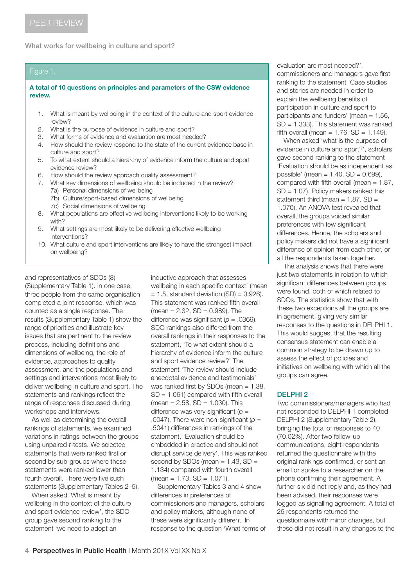# Figure 1.

#### A total of 10 questions on principles and parameters of the CSW evidence review.

- 1. What is meant by wellbeing in the context of the culture and sport evidence review?
- 2. What is the purpose of evidence in culture and sport?
- 3. What forms of evidence and evaluation are most needed?
- 4. How should the review respond to the state of the current evidence base in culture and sport?
- 5. To what extent should a hierarchy of evidence inform the culture and sport evidence review?
- 6. How should the review approach quality assessment?
- 7. What key dimensions of wellbeing should be included in the review? 7a) Personal dimensions of wellbeing
	- 7b) Culture/sport-based dimensions of wellbeing
	- 7c) Social dimensions of wellbeing
- 8. What populations are effective wellbeing interventions likely to be working with?
- 9. What settings are most likely to be delivering effective wellbeing interventions?
- 10. What culture and sport interventions are likely to have the strongest impact on wellbeing?

and representatives of SDOs (8) (Supplementary Table 1). In one case, three people from the same organisation completed a joint response, which was counted as a single response. The results (Supplementary Table 1) show the range of priorities and illustrate key issues that are pertinent to the review process, including definitions and dimensions of wellbeing, the role of evidence, approaches to quality assessment, and the populations and settings and interventions most likely to deliver wellbeing in culture and sport. The statements and rankings reflect the range of responses discussed during workshops and interviews.

As well as determining the overall rankings of statements, we examined variations in ratings between the groups using unpaired *t*-tests. We selected statements that were ranked first or second by sub-groups where these statements were ranked lower than fourth overall. There were five such statements (Supplementary Tables 2–5).

When asked 'What is meant by wellbeing in the context of the culture and sport evidence review', the SDO group gave second ranking to the statement 'we need to adopt an

inductive approach that assesses wellbeing in each specific context' (mean  $= 1.5$ , standard deviation (SD)  $= 0.926$ ). This statement was ranked fifth overall  $(mean = 2.32, SD = 0.989)$ . The difference was significant (*p* = .0369). SDO rankings also differed from the overall rankings in their responses to the statement, 'To what extent should a hierarchy of evidence inform the culture and sport evidence review?' The statement 'The review should include anecdotal evidence and testimonials' was ranked first by SDOs (mean = 1.38,  $SD = 1.061$ ) compared with fifth overall  $(mean = 2.58, SD = 1.030)$ . This difference was very significant (*p* = .0047). There were non-significant  $(p =$ .5041) differences in rankings of the statement, 'Evaluation should be embedded in practice and should not disrupt service delivery'. This was ranked second by SDOs (mean  $= 1.43$ , SD  $=$ 1.134) compared with fourth overall  $(mean = 1.73, SD = 1.071).$ 

Supplementary Tables 3 and 4 show differences in preferences of commissioners and managers, scholars and policy makers, although none of these were significantly different. In response to the question 'What forms of evaluation are most needed?', commissioners and managers gave first ranking to the statement 'Case studies and stories are needed in order to explain the wellbeing benefits of participation in culture and sport to participants and funders' (mean = 1.56, SD = 1.333). This statement was ranked fifth overall (mean =  $1.76$ , SD =  $1.149$ ).

When asked 'what is the purpose of evidence in culture and sport?', scholars gave second ranking to the statement 'Evaluation should be as independent as possible' (mean = 1.40, SD = 0.699), compared with fifth overall (mean = 1.87,  $SD = 1.07$ ). Policy makers ranked this statement third (mean  $= 1.87$ , SD  $=$ 1.070). An ANOVA test revealed that overall, the groups voiced similar preferences with few significant differences. Hence, the scholars and policy makers did not have a significant difference of opinion from each other, or all the respondents taken together.

The analysis shows that there were just two statements in relation to which significant differences between groups were found, both of which related to SDOs. The statistics show that with these two exceptions all the groups are in agreement, giving very similar responses to the questions in DELPHI 1. This would suggest that the resulting consensus statement can enable a common strategy to be drawn up to assess the effect of policies and initiatives on wellbeing with which all the groups can agree.

# DELPHI 2

Two commissioners/managers who had not responded to DELPHI 1 completed DELPHI 2 (Supplementary Table 2), bringing the total of responses to 40 (70.02%). After two follow-up communications, eight respondents returned the questionnaire with the original rankings confirmed, or sent an email or spoke to a researcher on the phone confirming their agreement. A further six did not reply and, as they had been advised, their responses were logged as signalling agreement. A total of 26 respondents returned the questionnaire with minor changes, but these did not result in any changes to the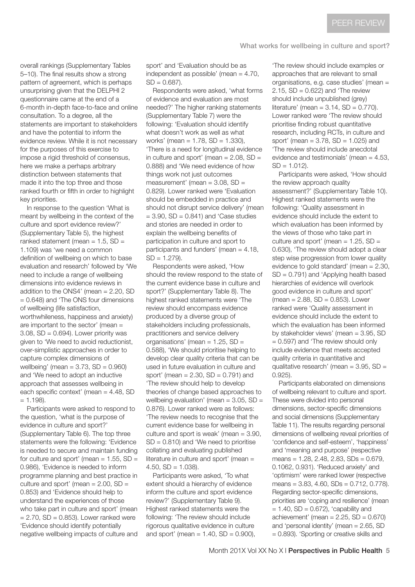overall rankings (Supplementary Tables 5–10). The final results show a strong pattern of agreement, which is perhaps unsurprising given that the DELPHI 2 questionnaire came at the end of a 6-month in-depth face-to-face and online consultation. To a degree, all the statements are important to stakeholders and have the potential to inform the evidence review. While it is not necessary for the purposes of this exercise to impose a rigid threshold of consensus, here we make a perhaps arbitrary distinction between statements that made it into the top three and those ranked fourth or fifth in order to highlight key priorities.

In response to the question 'What is meant by wellbeing in the context of the culture and sport evidence review?' (Supplementary Table 5), the highest ranked statement (mean  $= 1.5$ , SD  $=$ 1.109) was 'we need a common definition of wellbeing on which to base evaluation and research' followed by 'We need to include a range of wellbeing dimensions into evidence reviews in addition to the ONS4' (mean = 2.20, SD = 0.648) and 'The ONS four dimensions of wellbeing (life satisfaction, worthwhileness, happiness and anxiety) are important to the sector' (mean =  $3.08$ , SD = 0.694). Lower priority was given to 'We need to avoid reductionist, over-simplistic approaches in order to capture complex dimensions of wellbeing' (mean = 3.73, SD = 0.960) and 'We need to adopt an inductive approach that assesses wellbeing in each specific context' (mean = 4.48, SD  $= 1.198$ ).

Participants were asked to respond to the question, 'what is the purpose of evidence in culture and sport?' (Supplementary Table 6). The top three statements were the following: 'Evidence is needed to secure and maintain funding for culture and sport' (mean =  $1.55$ , SD = 0.986), 'Evidence is needed to inform programme planning and best practice in culture and sport' (mean  $= 2.00$ , SD  $=$ 0.853) and 'Evidence should help to understand the experiences of those who take part in culture and sport' (mean  $= 2.70$ , SD  $= 0.853$ ). Lower ranked were 'Evidence should identify potentially negative wellbeing impacts of culture and

sport' and 'Evaluation should be as independent as possible' (mean = 4.70,  $SD = 0.687$ ).

Respondents were asked, 'what forms of evidence and evaluation are most needed?' The higher ranking statements (Supplementary Table 7) were the following: 'Evaluation should identify what doesn't work as well as what works' (mean = 1.78, SD = 1.330), 'There is a need for longitudinal evidence in culture and sport' (mean  $= 2.08$ , SD  $=$ 0.888) and 'We need evidence of how things work not just outcomes measurement' (mean  $= 3.08$ , SD  $=$ 0.829). Lower ranked were 'Evaluation should be embedded in practice and should not disrupt service delivery' (mean  $= 3.90$ , SD  $= 0.841$ ) and 'Case studies and stories are needed in order to explain the wellbeing benefits of participation in culture and sport to participants and funders' (mean = 4.18,  $SD = 1.279$ ).

Respondents were asked, 'How should the review respond to the state of the current evidence base in culture and sport?' (Supplementary Table 8). The highest ranked statements were 'The review should encompass evidence produced by a diverse group of stakeholders including professionals, practitioners and service delivery organisations' (mean  $= 1.25$ , SD  $=$ 0.588), 'We should prioritise helping to develop clear quality criteria that can be used in future evaluation in culture and sport' (mean =  $2.30$ , SD =  $0.791$ ) and 'The review should help to develop theories of change based approaches to wellbeing evaluation' (mean = 3.05, SD = 0.876). Lower ranked were as follows: 'The review needs to recognise that the current evidence base for wellbeing in culture and sport is weak' (mean = 3.90,  $SD = 0.810$ ) and 'We need to prioritise collating and evaluating published literature in culture and sport' (mean =  $4.50, SD = 1.038$ ).

Participants were asked, 'To what extent should a hierarchy of evidence inform the culture and sport evidence review?' (Supplementary Table 9). Highest ranked statements were the following: 'The review should include rigorous qualitative evidence in culture and sport' (mean =  $1.40$ , SD =  $0.900$ ),

'The review should include examples or approaches that are relevant to small organisations, e.g. case studies' (mean =  $2.15$ , SD = 0.622) and 'The review should include unpublished (grey) literature' (mean  $= 3.14$ , SD  $= 0.770$ ). Lower ranked were 'The review should prioritise finding robust quantitative research, including RCTs, in culture and sport' (mean =  $3.78$ , SD =  $1.025$ ) and 'The review should include anecdotal evidence and testimonials' (mean = 4.53,  $SD = 1.012$ .

Participants were asked, 'How should the review approach quality assessment?' (Supplementary Table 10). Highest ranked statements were the following: 'Quality assessment in evidence should include the extent to which evaluation has been informed by the views of those who take part in culture and sport' (mean  $= 1.25$ , SD  $=$ 0.630), 'The review should adopt a clear step wise progression from lower quality evidence to gold standard' (mean = 2.30, SD = 0.791) and 'Applying health based hierarchies of evidence will overlook good evidence in culture and sport'  $(mean = 2.88, SD = 0.853)$ . Lower ranked were 'Quality assessment in evidence should include the extent to which the evaluation has been informed by stakeholder views' (mean = 3.95, SD = 0.597) and 'The review should only include evidence that meets accepted quality criteria in quantitative and qualitative research' (mean  $= 3.95$ , SD  $=$ 0.925).

Participants elaborated on dimensions of wellbeing relevant to culture and sport. These were divided into personal dimensions, sector-specific dimensions and social dimensions (Supplementary Table 11). The results regarding personal dimensions of wellbeing reveal priorities of 'confidence and self-esteem', 'happiness' and 'meaning and purpose' (respective means = 1.28, 2.48, 2.83, SDs = 0.679, 0.1062, 0.931). 'Reduced anxiety' and 'optimism' were ranked lower (respective means = 3.83, 4.60, SDs = 0.712, 0.778). Regarding sector-specific dimensions, priorities are 'coping and resilience' (mean  $= 1.40$ , SD  $= 0.672$ ), 'capability and achievement' (mean  $= 2.25$ , SD  $= 0.670$ ) and 'personal identity' (mean = 2.65, SD = 0.893). 'Sporting or creative skills and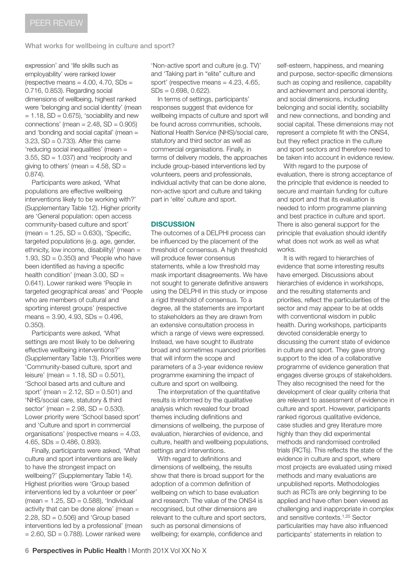expression' and 'life skills such as employability' were ranked lower (respective means  $= 4.00, 4.70, SDs =$ 0.716, 0.853). Regarding social dimensions of wellbeing, highest ranked were 'belonging and social identity' (mean  $= 1.18$ , SD  $= 0.675$ ), 'sociability and new connections' (mean  $= 2.48$ , SD  $= 0.905$ ) and 'bonding and social capital' (mean =  $3.23$ ,  $SD = 0.733$ ). After this came 'reducing social inequalities' (mean =  $3.55$ ,  $SD = 1.037$ ) and 'reciprocity and giving to others' (mean  $= 4.58$ , SD  $=$ 0.874).

Participants were asked, 'What populations are effective wellbeing interventions likely to be working with?' (Supplementary Table 12). Higher priority are 'General population: open access community-based culture and sport'  $(mean = 1.25, SD = 0.630)$ , 'Specific, targeted populations (e.g. age, gender, ethnicity, low income, disability)' (mean = 1.93,  $SD = 0.350$ ) and 'People who have been identified as having a specific health condition' (mean 3.00, SD = 0.641). Lower ranked were 'People in targeted geographical areas' and 'People who are members of cultural and sporting interest groups' (respective means =  $3.90, 4.93, SDs = 0.496$ , 0.350).

Participants were asked, 'What settings are most likely to be delivering effective wellbeing interventions?' (Supplementary Table 13). Priorities were 'Community-based culture, sport and leisure' (mean =  $1.18$ , SD =  $0.501$ ), 'School based arts and culture and sport' (mean =  $2.12$ , SD =  $0.501$ ) and 'NHS/social care, statutory & third sector' (mean =  $2.98$ , SD =  $0.530$ ). Lower priority were 'School based sport' and 'Culture and sport in commercial organisations' (respective means = 4.03,  $4.65$ , SDs = 0.486, 0.893).

Finally, participants were asked, 'What culture and sport interventions are likely to have the strongest impact on wellbeing?' (Supplementary Table 14). Highest priorities were 'Group based interventions led by a volunteer or peer'  $(mean = 1.25, SD = 0.588)$ , 'Individual activity that can be done alone' (mean = 2.28,  $SD = 0.506$ ) and 'Group based interventions led by a professional' (mean  $= 2.60$ , SD  $= 0.788$ ). Lower ranked were

'Non-active sport and culture (e.g. TV)' and 'Taking part in "elite" culture and sport' (respective means  $= 4.23, 4.65,$ SDs = 0.698, 0.622).

In terms of settings, participants' responses suggest that evidence for wellbeing impacts of culture and sport will be found across communities, schools, National Health Service (NHS)/social care, statutory and third sector as well as commercial organisations. Finally, in terms of delivery models, the approaches include group-based interventions led by volunteers, peers and professionals, individual activity that can be done alone, non-active sport and culture and taking part in 'elite' culture and sport.

#### **DISCUSSION**

The outcomes of a DELPHI process can be influenced by the placement of the threshold of consensus. A high threshold will produce fewer consensus statements, while a low threshold may mask important disagreements. We have not sought to generate definitive answers using the DELPHI in this study or impose a rigid threshold of consensus. To a degree, all the statements are important to stakeholders as they are drawn from an extensive consultation process in which a range of views were expressed. Instead, we have sought to illustrate broad and sometimes nuanced priorities that will inform the scope and parameters of a 3-year evidence review programme examining the impact of culture and sport on wellbeing.

The interpretation of the quantitative results is informed by the qualitative analysis which revealed four broad themes including definitions and dimensions of wellbeing, the purpose of evaluation, hierarchies of evidence, and culture, health and wellbeing populations, settings and interventions.

With regard to definitions and dimensions of wellbeing, the results show that there is broad support for the adoption of a common definition of wellbeing on which to base evaluation and research. The value of the ONS4 is recognised, but other dimensions are relevant to the culture and sport sectors, such as personal dimensions of wellbeing; for example, confidence and

self-esteem, happiness, and meaning and purpose, sector-specific dimensions such as coping and resilience, capability and achievement and personal identity, and social dimensions, including belonging and social identity, sociability and new connections, and bonding and social capital. These dimensions may not represent a complete fit with the ONS4, but they reflect practice in the culture and sport sectors and therefore need to be taken into account in evidence review.

With regard to the purpose of evaluation, there is strong acceptance of the principle that evidence is needed to secure and maintain funding for culture and sport and that its evaluation is needed to inform programme planning and best practice in culture and sport. There is also general support for the principle that evaluation should identify what does not work as well as what works.

It is with regard to hierarchies of evidence that some interesting results have emerged. Discussions about hierarchies of evidence in workshops, and the resulting statements and priorities, reflect the particularities of the sector and may appear to be at odds with conventional wisdom in public health. During workshops, participants devoted considerable energy to discussing the current state of evidence in culture and sport. They gave strong support to the idea of a collaborative programme of evidence generation that engages diverse groups of stakeholders. They also recognised the need for the development of clear quality criteria that are relevant to assessment of evidence in culture and sport. However, participants ranked rigorous qualitative evidence, case studies and grey literature more highly than they did experimental methods and randomised controlled trials (RCTs). This reflects the state of the evidence in culture and sport, where most projects are evaluated using mixed methods and many evaluations are unpublished reports. Methodologies such as RCTs are only beginning to be applied and have often been viewed as challenging and inappropriate in complex and sensitive contexts.1,25 Sector particularities may have also influenced participants' statements in relation to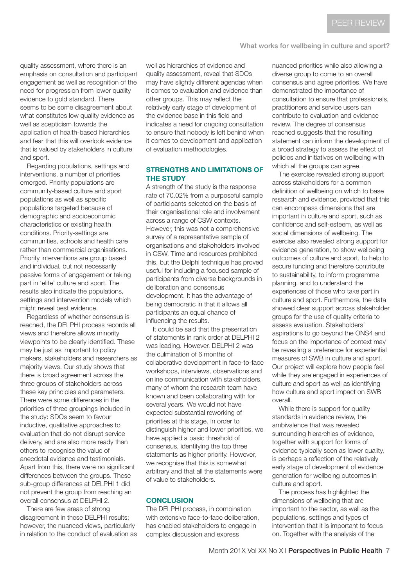quality assessment, where there is an emphasis on consultation and participant engagement as well as recognition of the need for progression from lower quality evidence to gold standard. There seems to be some disagreement about what constitutes low quality evidence as well as scepticism towards the application of health-based hierarchies and fear that this will overlook evidence that is valued by stakeholders in culture and sport.

Regarding populations, settings and interventions, a number of priorities emerged. Priority populations are community-based culture and sport populations as well as specific populations targeted because of demographic and socioeconomic characteristics or existing health conditions. Priority-settings are communities, schools and health care rather than commercial organisations. Priority interventions are group based and individual, but not necessarily passive forms of engagement or taking part in 'elite' culture and sport. The results also indicate the populations, settings and intervention models which might reveal best evidence.

Regardless of whether consensus is reached, the DELPHI process records all views and therefore allows minority viewpoints to be clearly identified. These may be just as important to policy makers, stakeholders and researchers as majority views. Our study shows that there is broad agreement across the three groups of stakeholders across these key principles and parameters. There were some differences in the priorities of three groupings included in the study: SDOs seem to favour inductive, qualitative approaches to evaluation that do not disrupt service delivery, and are also more ready than others to recognise the value of anecdotal evidence and testimonials. Apart from this, there were no significant differences between the groups. These sub-group differences at DELPHI 1 did not prevent the group from reaching an overall consensus at DELPHI 2.

There are few areas of strong disagreement in these DELPHI results; however, the nuanced views, particularly in relation to the conduct of evaluation as well as hierarchies of evidence and quality assessment, reveal that SDOs may have slightly different agendas when it comes to evaluation and evidence than other groups. This may reflect the relatively early stage of development of the evidence base in this field and indicates a need for ongoing consultation to ensure that nobody is left behind when it comes to development and application of evaluation methodologies.

### Strengths and Limitations of The Study

A strength of the study is the response rate of 70.02% from a purposeful sample of participants selected on the basis of their organisational role and involvement across a range of CSW contexts. However, this was not a comprehensive survey of a representative sample of organisations and stakeholders involved in CSW. Time and resources prohibited this, but the Delphi technique has proved useful for including a focused sample of participants from diverse backgrounds in deliberation and consensus development. It has the advantage of being democratic in that it allows all participants an equal chance of influencing the results.

It could be said that the presentation of statements in rank order at DELPHI 2 was leading. However, DELPHI 2 was the culmination of 6 months of collaborative development in face-to-face workshops, interviews, observations and online communication with stakeholders, many of whom the research team have known and been collaborating with for several years. We would not have expected substantial reworking of priorities at this stage. In order to distinguish higher and lower priorities, we have applied a basic threshold of consensus, identifying the top three statements as higher priority. However, we recognise that this is somewhat arbitrary and that all the statements were of value to stakeholders.

# **CONCLUSION**

The DELPHI process, in combination with extensive face-to-face deliberation, has enabled stakeholders to engage in complex discussion and express

nuanced priorities while also allowing a diverse group to come to an overall consensus and agree priorities. We have demonstrated the importance of consultation to ensure that professionals, practitioners and service users can contribute to evaluation and evidence review. The degree of consensus reached suggests that the resulting statement can inform the development of a broad strategy to assess the effect of policies and initiatives on wellbeing with which all the groups can agree.

The exercise revealed strong support across stakeholders for a common definition of wellbeing on which to base research and evidence, provided that this can encompass dimensions that are important in culture and sport, such as confidence and self-esteem, as well as social dimensions of wellbeing. The exercise also revealed strong support for evidence generation, to show wellbeing outcomes of culture and sport, to help to secure funding and therefore contribute to sustainability, to inform programme planning, and to understand the experiences of those who take part in culture and sport. Furthermore, the data showed clear support across stakeholder groups for the use of quality criteria to assess evaluation. Stakeholders' aspirations to go beyond the ONS4 and focus on the importance of context may be revealing a preference for experiential measures of SWB in culture and sport. Our project will explore how people feel while they are engaged in experiences of culture and sport as well as identifying how culture and sport impact on SWB overall.

While there is support for quality standards in evidence review, the ambivalence that was revealed surrounding hierarchies of evidence, together with support for forms of evidence typically seen as lower quality, is perhaps a reflection of the relatively early stage of development of evidence generation for wellbeing outcomes in culture and sport.

The process has highlighted the dimensions of wellbeing that are important to the sector, as well as the populations, settings and types of intervention that it is important to focus on. Together with the analysis of the